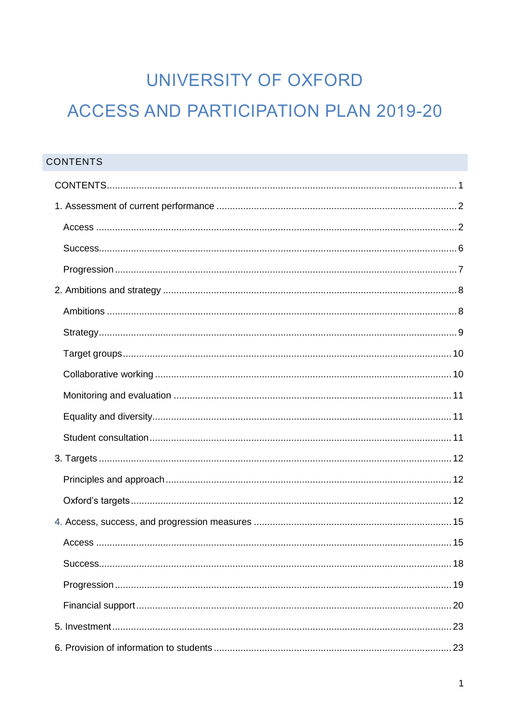# UNIVERSITY OF OXFORD **ACCESS AND PARTICIPATION PLAN 2019-20**

| <b>CONTENTS</b> |  |
|-----------------|--|
|                 |  |
|                 |  |
|                 |  |
|                 |  |
|                 |  |
|                 |  |
|                 |  |
|                 |  |
|                 |  |
|                 |  |
|                 |  |
|                 |  |
|                 |  |
|                 |  |
|                 |  |
|                 |  |
|                 |  |
|                 |  |
|                 |  |
|                 |  |
|                 |  |
|                 |  |
|                 |  |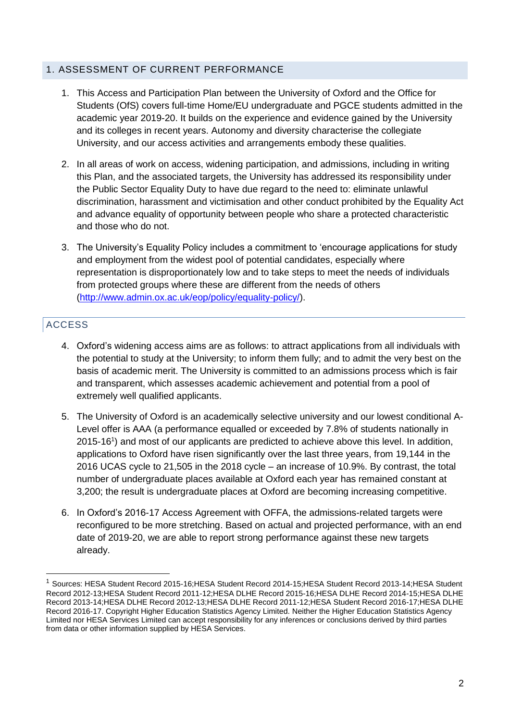#### 1. ASSESSMENT OF CURRENT PERFORMANCE

- 1. This Access and Participation Plan between the University of Oxford and the Office for Students (OfS) covers full-time Home/EU undergraduate and PGCE students admitted in the academic year 2019-20. It builds on the experience and evidence gained by the University and its colleges in recent years. Autonomy and diversity characterise the collegiate University, and our access activities and arrangements embody these qualities.
- 2. In all areas of work on access, widening participation, and admissions, including in writing this Plan, and the associated targets, the University has addressed its responsibility under the Public Sector Equality Duty to have due regard to the need to: eliminate unlawful discrimination, harassment and victimisation and other conduct prohibited by the Equality Act and advance equality of opportunity between people who share a protected characteristic and those who do not.
- 3. The University's Equality Policy includes a commitment to 'encourage applications for study and employment from the widest pool of potential candidates, especially where representation is disproportionately low and to take steps to meet the needs of individuals from protected groups where these are different from the needs of others [\(http://www.admin.ox.ac.uk/eop/policy/equality-policy/\)](http://www.admin.ox.ac.uk/eop/policy/equality-policy/).

## ACCESS

 $\overline{a}$ 

- 4. Oxford's widening access aims are as follows: to attract applications from all individuals with the potential to study at the University; to inform them fully; and to admit the very best on the basis of academic merit. The University is committed to an admissions process which is fair and transparent, which assesses academic achievement and potential from a pool of extremely well qualified applicants.
- 5. The University of Oxford is an academically selective university and our lowest conditional A-Level offer is AAA (a performance equalled or exceeded by 7.8% of students nationally in 2015-16<sup>1</sup> ) and most of our applicants are predicted to achieve above this level. In addition, applications to Oxford have risen significantly over the last three years, from 19,144 in the 2016 UCAS cycle to 21,505 in the 2018 cycle – an increase of 10.9%. By contrast, the total number of undergraduate places available at Oxford each year has remained constant at 3,200; the result is undergraduate places at Oxford are becoming increasing competitive.
- 6. In Oxford's 2016-17 Access Agreement with OFFA, the admissions-related targets were reconfigured to be more stretching. Based on actual and projected performance, with an end date of 2019-20, we are able to report strong performance against these new targets already.

<sup>1</sup> Sources: HESA Student Record 2015-16;HESA Student Record 2014-15;HESA Student Record 2013-14;HESA Student Record 2012-13;HESA Student Record 2011-12;HESA DLHE Record 2015-16;HESA DLHE Record 2014-15;HESA DLHE Record 2013-14;HESA DLHE Record 2012-13;HESA DLHE Record 2011-12;HESA Student Record 2016-17;HESA DLHE Record 2016-17. Copyright Higher Education Statistics Agency Limited. Neither the Higher Education Statistics Agency Limited nor HESA Services Limited can accept responsibility for any inferences or conclusions derived by third parties from data or other information supplied by HESA Services.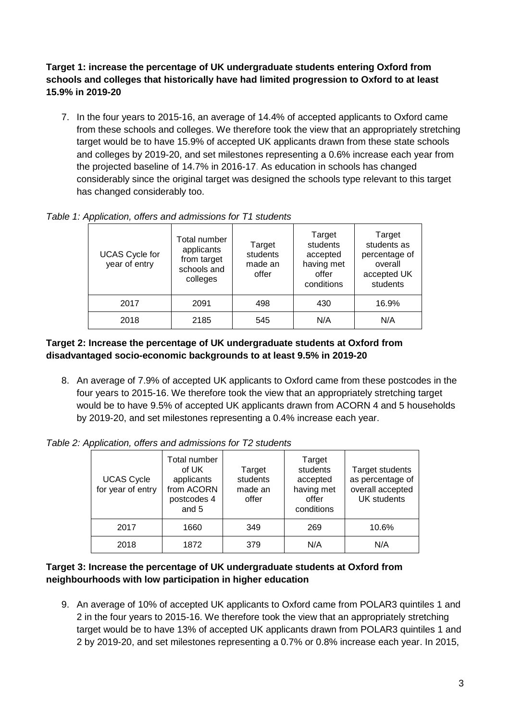#### **Target 1: increase the percentage of UK undergraduate students entering Oxford from schools and colleges that historically have had limited progression to Oxford to at least 15.9% in 2019-20**

7. In the four years to 2015-16, an average of 14.4% of accepted applicants to Oxford came from these schools and colleges. We therefore took the view that an appropriately stretching target would be to have 15.9% of accepted UK applicants drawn from these state schools and colleges by 2019-20, and set milestones representing a 0.6% increase each year from the projected baseline of 14.7% in 2016-17. As education in schools has changed considerably since the original target was designed the schools type relevant to this target has changed considerably too.

| <b>UCAS Cycle for</b><br>year of entry | Total number<br>applicants<br>from target<br>schools and<br>colleges | Target<br>students<br>made an<br>offer | Target<br>students<br>accepted<br>having met<br>offer<br>conditions | Target<br>students as<br>percentage of<br>overall<br>accepted UK<br>students |
|----------------------------------------|----------------------------------------------------------------------|----------------------------------------|---------------------------------------------------------------------|------------------------------------------------------------------------------|
| 2017                                   | 2091                                                                 | 498                                    | 430                                                                 | 16.9%                                                                        |
| 2018                                   | 2185                                                                 | 545                                    | N/A                                                                 | N/A                                                                          |

*Table 1: Application, offers and admissions for T1 students*

#### **Target 2: Increase the percentage of UK undergraduate students at Oxford from disadvantaged socio-economic backgrounds to at least 9.5% in 2019-20**

8. An average of 7.9% of accepted UK applicants to Oxford came from these postcodes in the four years to 2015-16. We therefore took the view that an appropriately stretching target would be to have 9.5% of accepted UK applicants drawn from ACORN 4 and 5 households by 2019-20, and set milestones representing a 0.4% increase each year.

| <b>UCAS Cycle</b><br>for year of entry | Total number<br>of UK<br>applicants<br>from ACORN<br>postcodes 4<br>and 5 | Target<br>students<br>made an<br>offer | Target<br>students<br>accepted<br>having met<br>offer<br>conditions | Target students<br>as percentage of<br>overall accepted<br><b>UK</b> students |  |  |
|----------------------------------------|---------------------------------------------------------------------------|----------------------------------------|---------------------------------------------------------------------|-------------------------------------------------------------------------------|--|--|
| 2017                                   | 1660                                                                      | 349                                    | 269                                                                 | 10.6%                                                                         |  |  |
| 2018                                   | 1872                                                                      | 379                                    | N/A                                                                 | N/A                                                                           |  |  |

*Table 2: Application, offers and admissions for T2 students*

#### **Target 3: Increase the percentage of UK undergraduate students at Oxford from neighbourhoods with low participation in higher education**

9. An average of 10% of accepted UK applicants to Oxford came from POLAR3 quintiles 1 and 2 in the four years to 2015-16. We therefore took the view that an appropriately stretching target would be to have 13% of accepted UK applicants drawn from POLAR3 quintiles 1 and 2 by 2019-20, and set milestones representing a 0.7% or 0.8% increase each year. In 2015,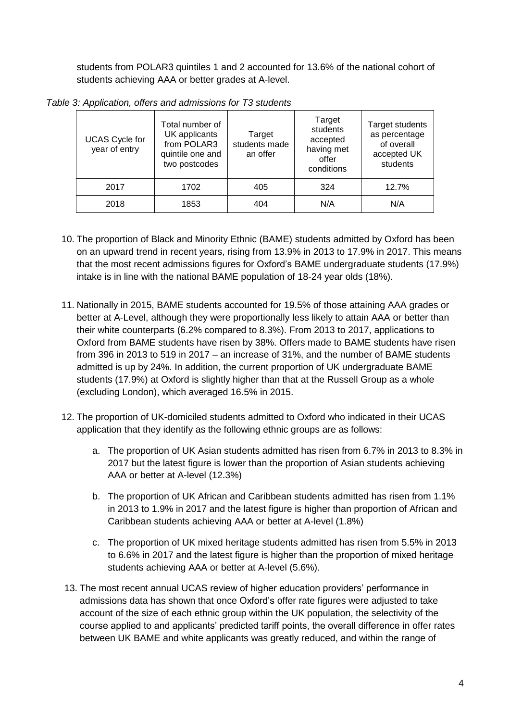students from POLAR3 quintiles 1 and 2 accounted for 13.6% of the national cohort of students achieving AAA or better grades at A-level.

|              | Total number of<br>UK applicants<br>Target<br><b>UCAS Cycle for</b><br>from POLAR3<br>year of entry<br>quintile one and<br>two postcodes |      | students made<br>an offer | Target<br>students<br>accepted<br>having met<br>offer<br>conditions | <b>Target students</b><br>as percentage<br>of overall<br>accepted UK<br>students |  |
|--------------|------------------------------------------------------------------------------------------------------------------------------------------|------|---------------------------|---------------------------------------------------------------------|----------------------------------------------------------------------------------|--|
| 1702<br>2017 |                                                                                                                                          |      | 405                       | 324                                                                 | 12.7%                                                                            |  |
|              | 2018                                                                                                                                     | 1853 | 404                       | N/A                                                                 | N/A                                                                              |  |

*Table 3: Application, offers and admissions for T3 students*

- 10. The proportion of Black and Minority Ethnic (BAME) students admitted by Oxford has been on an upward trend in recent years, rising from 13.9% in 2013 to 17.9% in 2017. This means that the most recent admissions figures for Oxford's BAME undergraduate students (17.9%) intake is in line with the national BAME population of 18-24 year olds (18%).
- 11. Nationally in 2015, BAME students accounted for 19.5% of those attaining AAA grades or better at A-Level, although they were proportionally less likely to attain AAA or better than their white counterparts (6.2% compared to 8.3%). From 2013 to 2017, applications to Oxford from BAME students have risen by 38%. Offers made to BAME students have risen from 396 in 2013 to 519 in 2017 – an increase of 31%, and the number of BAME students admitted is up by 24%. In addition, the current proportion of UK undergraduate BAME students (17.9%) at Oxford is slightly higher than that at the Russell Group as a whole (excluding London), which averaged 16.5% in 2015.
- 12. The proportion of UK-domiciled students admitted to Oxford who indicated in their UCAS application that they identify as the following ethnic groups are as follows:
	- a. The proportion of UK Asian students admitted has risen from 6.7% in 2013 to 8.3% in 2017 but the latest figure is lower than the proportion of Asian students achieving AAA or better at A-level (12.3%)
	- b. The proportion of UK African and Caribbean students admitted has risen from 1.1% in 2013 to 1.9% in 2017 and the latest figure is higher than proportion of African and Caribbean students achieving AAA or better at A-level (1.8%)
	- c. The proportion of UK mixed heritage students admitted has risen from 5.5% in 2013 to 6.6% in 2017 and the latest figure is higher than the proportion of mixed heritage students achieving AAA or better at A-level (5.6%).
- 13. The most recent annual UCAS review of higher education providers' performance in admissions data has shown that once Oxford's offer rate figures were adjusted to take account of the size of each ethnic group within the UK population, the selectivity of the course applied to and applicants' predicted tariff points, the overall difference in offer rates between UK BAME and white applicants was greatly reduced, and within the range of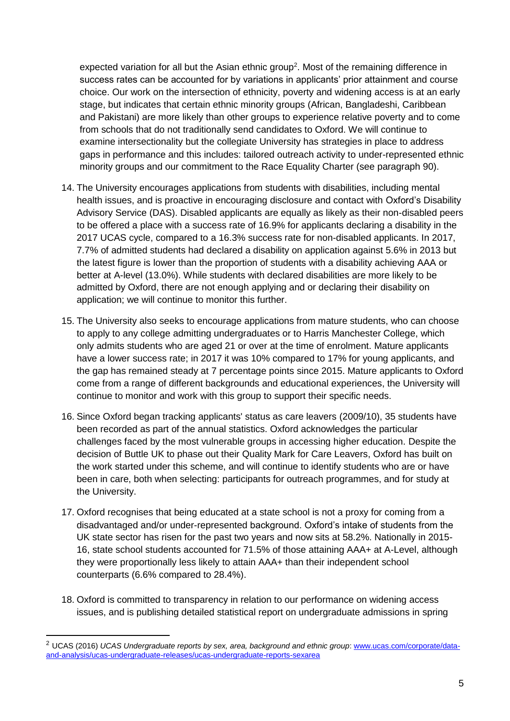expected variation for all but the Asian ethnic group<sup>2</sup>. Most of the remaining difference in success rates can be accounted for by variations in applicants' prior attainment and course choice. Our work on the intersection of ethnicity, poverty and widening access is at an early stage, but indicates that certain ethnic minority groups (African, Bangladeshi, Caribbean and Pakistani) are more likely than other groups to experience relative poverty and to come from schools that do not traditionally send candidates to Oxford. We will continue to examine intersectionality but the collegiate University has strategies in place to address gaps in performance and this includes: tailored outreach activity to under-represented ethnic minority groups and our commitment to the Race Equality Charter (see paragraph [90\)](#page-18-0).

- 14. The University encourages applications from students with disabilities, including mental health issues, and is proactive in encouraging disclosure and contact with Oxford's Disability Advisory Service (DAS). Disabled applicants are equally as likely as their non-disabled peers to be offered a place with a success rate of 16.9% for applicants declaring a disability in the 2017 UCAS cycle, compared to a 16.3% success rate for non-disabled applicants. In 2017, 7.7% of admitted students had declared a disability on application against 5.6% in 2013 but the latest figure is lower than the proportion of students with a disability achieving AAA or better at A-level (13.0%). While students with declared disabilities are more likely to be admitted by Oxford, there are not enough applying and or declaring their disability on application; we will continue to monitor this further.
- 15. The University also seeks to encourage applications from mature students, who can choose to apply to any college admitting undergraduates or to Harris Manchester College, which only admits students who are aged 21 or over at the time of enrolment. Mature applicants have a lower success rate; in 2017 it was 10% compared to 17% for young applicants, and the gap has remained steady at 7 percentage points since 2015. Mature applicants to Oxford come from a range of different backgrounds and educational experiences, the University will continue to monitor and work with this group to support their specific needs.
- 16. Since Oxford began tracking applicants' status as care leavers (2009/10), 35 students have been recorded as part of the annual statistics. Oxford acknowledges the particular challenges faced by the most vulnerable groups in accessing higher education. Despite the decision of Buttle UK to phase out their Quality Mark for Care Leavers, Oxford has built on the work started under this scheme, and will continue to identify students who are or have been in care, both when selecting: participants for outreach programmes, and for study at the University.
- 17. Oxford recognises that being educated at a state school is not a proxy for coming from a disadvantaged and/or under-represented background. Oxford's intake of students from the UK state sector has risen for the past two years and now sits at 58.2%. Nationally in 2015- 16, state school students accounted for 71.5% of those attaining AAA+ at A-Level, although they were proportionally less likely to attain AAA+ than their independent school counterparts (6.6% compared to 28.4%).
- 18. Oxford is committed to transparency in relation to our performance on widening access issues, and is publishing detailed statistical report on undergraduate admissions in spring

<sup>&</sup>lt;sup>2</sup> UCAS (2016) *UCAS Undergraduate reports by sex, area, background and ethnic group*: [www.ucas.com/corporate/data](file:///C:/Users/admn2945/Appdata/Local/Microsoft/Windows/Temporary%20Internet%20Files/Content.Outlook/BAC7ZMBJ/www.ucas.com/corporate/data-and-analysis/ucas-undergraduate-releases/ucas-undergraduate-reports-sexarea)[and-analysis/ucas-undergraduate-releases/ucas-undergraduate-reports-sexarea](file:///C:/Users/admn2945/Appdata/Local/Microsoft/Windows/Temporary%20Internet%20Files/Content.Outlook/BAC7ZMBJ/www.ucas.com/corporate/data-and-analysis/ucas-undergraduate-releases/ucas-undergraduate-reports-sexarea)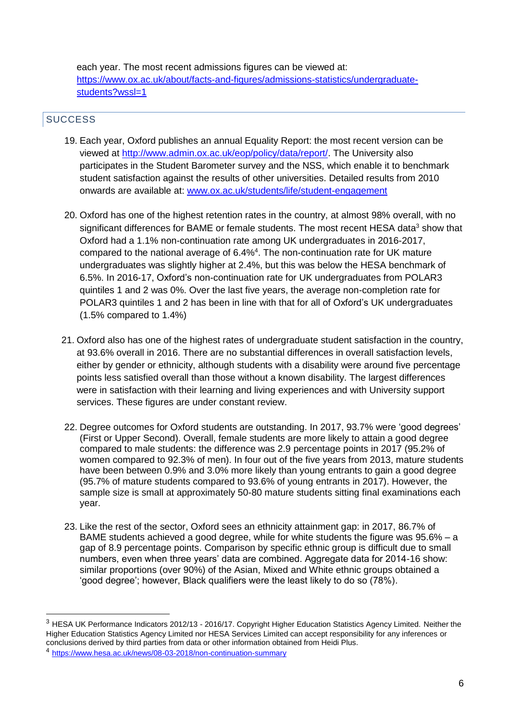each year. The most recent admissions figures can be viewed at: [https://www.ox.ac.uk/about/facts-and-figures/admissions-statistics/undergraduate](https://www.ox.ac.uk/about/facts-and-figures/admissions-statistics/undergraduate-students?wssl=1)[students?wssl=1](https://www.ox.ac.uk/about/facts-and-figures/admissions-statistics/undergraduate-students?wssl=1)

## **SUCCESS**

- 19. Each year, Oxford publishes an annual Equality Report: the most recent version can be viewed at [http://www.admin.ox.ac.uk/eop/policy/data/report/.](http://www.admin.ox.ac.uk/eop/policy/data/report/) The University also participates in the Student Barometer survey and the NSS, which enable it to benchmark student satisfaction against the results of other universities. Detailed results from 2010 onwards are available at: [www.ox.ac.uk/students/life/student-engagement](http://www.ox.ac.uk/students/life/student-engagement)
- 20. Oxford has one of the highest retention rates in the country, at almost 98% overall, with no significant differences for BAME or female students. The most recent HESA data<sup>3</sup> show that Oxford had a 1.1% non-continuation rate among UK undergraduates in 2016-2017, compared to the national average of 6.4%<sup>4</sup>. The non-continuation rate for UK mature undergraduates was slightly higher at 2.4%, but this was below the HESA benchmark of 6.5%. In 2016-17, Oxford's non-continuation rate for UK undergraduates from POLAR3 quintiles 1 and 2 was 0%. Over the last five years, the average non-completion rate for POLAR3 quintiles 1 and 2 has been in line with that for all of Oxford's UK undergraduates (1.5% compared to 1.4%)
- 21. Oxford also has one of the highest rates of undergraduate student satisfaction in the country, at 93.6% overall in 2016. There are no substantial differences in overall satisfaction levels, either by gender or ethnicity, although students with a disability were around five percentage points less satisfied overall than those without a known disability. The largest differences were in satisfaction with their learning and living experiences and with University support services. These figures are under constant review.
- 22. Degree outcomes for Oxford students are outstanding. In 2017, 93.7% were 'good degrees' (First or Upper Second). Overall, female students are more likely to attain a good degree compared to male students: the difference was 2.9 percentage points in 2017 (95.2% of women compared to 92.3% of men). In four out of the five years from 2013, mature students have been between 0.9% and 3.0% more likely than young entrants to gain a good degree (95.7% of mature students compared to 93.6% of young entrants in 2017). However, the sample size is small at approximately 50-80 mature students sitting final examinations each year.
- <span id="page-5-0"></span>23. Like the rest of the sector, Oxford sees an ethnicity attainment gap: in 2017, 86.7% of BAME students achieved a good degree, while for white students the figure was 95.6% – a gap of 8.9 percentage points. Comparison by specific ethnic group is difficult due to small numbers, even when three years' data are combined. Aggregate data for 2014-16 show: similar proportions (over 90%) of the Asian, Mixed and White ethnic groups obtained a 'good degree'; however, Black qualifiers were the least likely to do so (78%).

<sup>&</sup>lt;sup>3</sup> HESA UK Performance Indicators 2012/13 - 2016/17. Copyright Higher Education Statistics Agency Limited. Neither the Higher Education Statistics Agency Limited nor HESA Services Limited can accept responsibility for any inferences or conclusions derived by third parties from data or other information obtained from Heidi Plus.

<sup>4</sup> <https://www.hesa.ac.uk/news/08-03-2018/non-continuation-summary>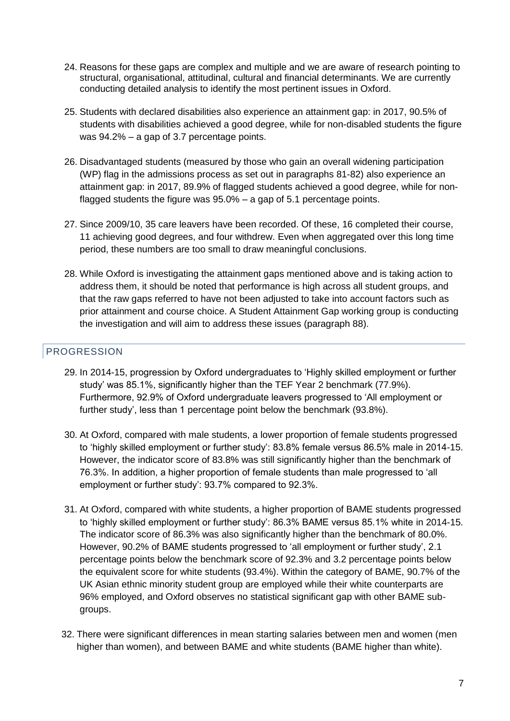- 24. Reasons for these gaps are complex and multiple and we are aware of research pointing to structural, organisational, attitudinal, cultural and financial determinants. We are currently conducting detailed analysis to identify the most pertinent issues in Oxford.
- 25. Students with declared disabilities also experience an attainment gap: in 2017, 90.5% of students with disabilities achieved a good degree, while for non-disabled students the figure was 94.2% – a gap of 3.7 percentage points.
- <span id="page-6-0"></span>26. Disadvantaged students (measured by those who gain an overall widening participation (WP) flag in the admissions process as set out in paragraphs [81](#page-16-0)[-82\)](#page-16-1) also experience an attainment gap: in 2017, 89.9% of flagged students achieved a good degree, while for nonflagged students the figure was 95.0% – a gap of 5.1 percentage points.
- 27. Since 2009/10, 35 care leavers have been recorded. Of these, 16 completed their course, 11 achieving good degrees, and four withdrew. Even when aggregated over this long time period, these numbers are too small to draw meaningful conclusions.
- 28. While Oxford is investigating the attainment gaps mentioned above and is taking action to address them, it should be noted that performance is high across all student groups, and that the raw gaps referred to have not been adjusted to take into account factors such as prior attainment and course choice. A Student Attainment Gap working group is conducting the investigation and will aim to address these issues (paragraph [88\)](#page-17-0).

#### PROGRESSION

- 29. In 2014-15, progression by Oxford undergraduates to 'Highly skilled employment or further study' was 85.1%, significantly higher than the TEF Year 2 benchmark (77.9%). Furthermore, 92.9% of Oxford undergraduate leavers progressed to 'All employment or further study', less than 1 percentage point below the benchmark (93.8%).
- 30. At Oxford, compared with male students, a lower proportion of female students progressed to 'highly skilled employment or further study': 83.8% female versus 86.5% male in 2014-15. However, the indicator score of 83.8% was still significantly higher than the benchmark of 76.3%. In addition, a higher proportion of female students than male progressed to 'all employment or further study': 93.7% compared to 92.3%.
- 31. At Oxford, compared with white students, a higher proportion of BAME students progressed to 'highly skilled employment or further study': 86.3% BAME versus 85.1% white in 2014-15. The indicator score of 86.3% was also significantly higher than the benchmark of 80.0%. However, 90.2% of BAME students progressed to 'all employment or further study', 2.1 percentage points below the benchmark score of 92.3% and 3.2 percentage points below the equivalent score for white students (93.4%). Within the category of BAME, 90.7% of the UK Asian ethnic minority student group are employed while their white counterparts are 96% employed, and Oxford observes no statistical significant gap with other BAME subgroups.
- 32. There were significant differences in mean starting salaries between men and women (men higher than women), and between BAME and white students (BAME higher than white).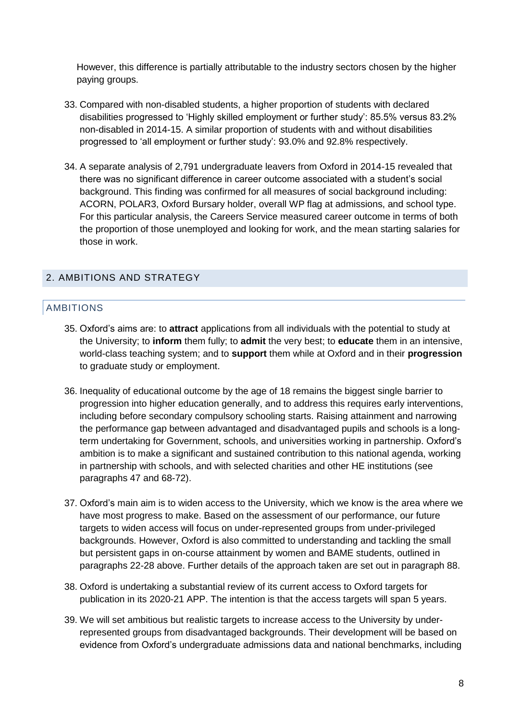However, this difference is partially attributable to the industry sectors chosen by the higher paying groups.

- 33. Compared with non-disabled students, a higher proportion of students with declared disabilities progressed to 'Highly skilled employment or further study': 85.5% versus 83.2% non-disabled in 2014-15. A similar proportion of students with and without disabilities progressed to 'all employment or further study': 93.0% and 92.8% respectively.
- 34. A separate analysis of 2,791 undergraduate leavers from Oxford in 2014-15 revealed that there was no significant difference in career outcome associated with a student's social background. This finding was confirmed for all measures of social background including: ACORN, POLAR3, Oxford Bursary holder, overall WP flag at admissions, and school type. For this particular analysis, the Careers Service measured career outcome in terms of both the proportion of those unemployed and looking for work, and the mean starting salaries for those in work.

#### 2. AMBITIONS AND STRATEGY

#### AMBITIONS

- 35. Oxford's aims are: to **attract** applications from all individuals with the potential to study at the University; to **inform** them fully; to **admit** the very best; to **educate** them in an intensive, world-class teaching system; and to **support** them while at Oxford and in their **progression** to graduate study or employment.
- 36. Inequality of educational outcome by the age of 18 remains the biggest single barrier to progression into higher education generally, and to address this requires early interventions, including before secondary compulsory schooling starts. Raising attainment and narrowing the performance gap between advantaged and disadvantaged pupils and schools is a longterm undertaking for Government, schools, and universities working in partnership. Oxford's ambition is to make a significant and sustained contribution to this national agenda, working in partnership with schools, and with selected charities and other HE institutions (see paragraphs [47](#page-9-0) and [68](#page-14-0)[-72\)](#page-15-0).
- 37. Oxford's main aim is to widen access to the University, which we know is the area where we have most progress to make. Based on the assessment of our performance, our future targets to widen access will focus on under-represented groups from under-privileged backgrounds. However, Oxford is also committed to understanding and tackling the small but persistent gaps in on-course attainment by women and BAME students, outlined in paragraphs [22-](#page-5-0)28 above. Further details of the approach taken are set out in paragraph [88.](#page-17-0)
- 38. Oxford is undertaking a substantial review of its current access to Oxford targets for publication in its 2020-21 APP. The intention is that the access targets will span 5 years.
- 39. We will set ambitious but realistic targets to increase access to the University by underrepresented groups from disadvantaged backgrounds. Their development will be based on evidence from Oxford's undergraduate admissions data and national benchmarks, including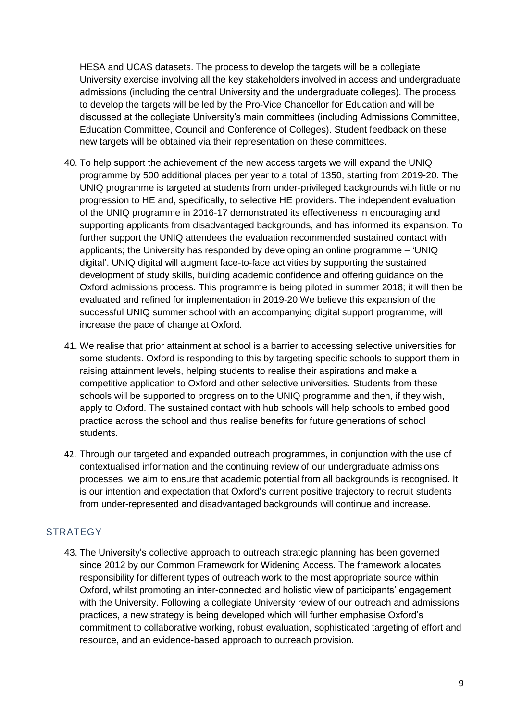HESA and UCAS datasets. The process to develop the targets will be a collegiate University exercise involving all the key stakeholders involved in access and undergraduate admissions (including the central University and the undergraduate colleges). The process to develop the targets will be led by the Pro-Vice Chancellor for Education and will be discussed at the collegiate University's main committees (including Admissions Committee, Education Committee, Council and Conference of Colleges). Student feedback on these new targets will be obtained via their representation on these committees.

- 40. To help support the achievement of the new access targets we will expand the UNIQ programme by 500 additional places per year to a total of 1350, starting from 2019-20. The UNIQ programme is targeted at students from under-privileged backgrounds with little or no progression to HE and, specifically, to selective HE providers. The independent evaluation of the UNIQ programme in 2016-17 demonstrated its effectiveness in encouraging and supporting applicants from disadvantaged backgrounds, and has informed its expansion. To further support the UNIQ attendees the evaluation recommended sustained contact with applicants; the University has responded by developing an online programme – 'UNIQ digital'. UNIQ digital will augment face-to-face activities by supporting the sustained development of study skills, building academic confidence and offering guidance on the Oxford admissions process. This programme is being piloted in summer 2018; it will then be evaluated and refined for implementation in 2019-20 We believe this expansion of the successful UNIQ summer school with an accompanying digital support programme, will increase the pace of change at Oxford.
- 41. We realise that prior attainment at school is a barrier to accessing selective universities for some students. Oxford is responding to this by targeting specific schools to support them in raising attainment levels, helping students to realise their aspirations and make a competitive application to Oxford and other selective universities. Students from these schools will be supported to progress on to the UNIQ programme and then, if they wish, apply to Oxford. The sustained contact with hub schools will help schools to embed good practice across the school and thus realise benefits for future generations of school students.
- 42. Through our targeted and expanded outreach programmes, in conjunction with the use of contextualised information and the continuing review of our undergraduate admissions processes, we aim to ensure that academic potential from all backgrounds is recognised. It is our intention and expectation that Oxford's current positive trajectory to recruit students from under-represented and disadvantaged backgrounds will continue and increase.

#### **STRATEGY**

43. The University's collective approach to outreach strategic planning has been governed since 2012 by our Common Framework for Widening Access. The framework allocates responsibility for different types of outreach work to the most appropriate source within Oxford, whilst promoting an inter-connected and holistic view of participants' engagement with the University. Following a collegiate University review of our outreach and admissions practices, a new strategy is being developed which will further emphasise Oxford's commitment to collaborative working, robust evaluation, sophisticated targeting of effort and resource, and an evidence-based approach to outreach provision.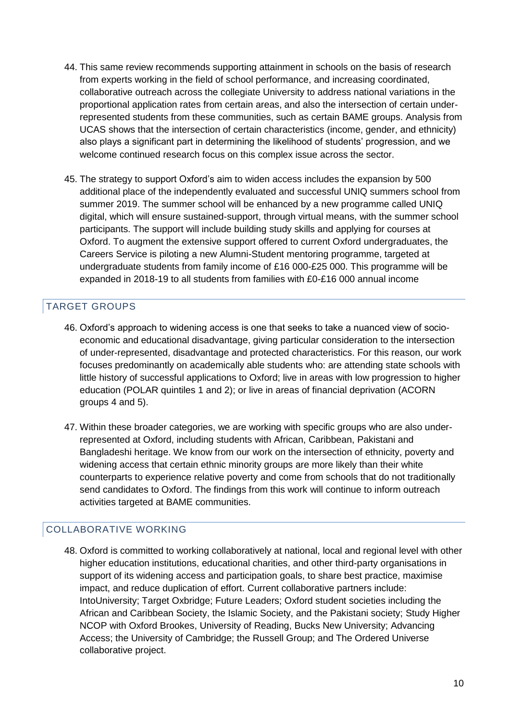- 44. This same review recommends supporting attainment in schools on the basis of research from experts working in the field of school performance, and increasing coordinated, collaborative outreach across the collegiate University to address national variations in the proportional application rates from certain areas, and also the intersection of certain underrepresented students from these communities, such as certain BAME groups. Analysis from UCAS shows that the intersection of certain characteristics (income, gender, and ethnicity) also plays a significant part in determining the likelihood of students' progression, and we welcome continued research focus on this complex issue across the sector.
- 45. The strategy to support Oxford's aim to widen access includes the expansion by 500 additional place of the independently evaluated and successful UNIQ summers school from summer 2019. The summer school will be enhanced by a new programme called UNIQ digital, which will ensure sustained-support, through virtual means, with the summer school participants. The support will include building study skills and applying for courses at Oxford. To augment the extensive support offered to current Oxford undergraduates, the Careers Service is piloting a new Alumni-Student mentoring programme, targeted at undergraduate students from family income of £16 000-£25 000. This programme will be expanded in 2018-19 to all students from families with £0-£16 000 annual income

#### TARGET GROUPS

- 46. Oxford's approach to widening access is one that seeks to take a nuanced view of socioeconomic and educational disadvantage, giving particular consideration to the intersection of under-represented, disadvantage and protected characteristics. For this reason, our work focuses predominantly on academically able students who: are attending state schools with little history of successful applications to Oxford; live in areas with low progression to higher education (POLAR quintiles 1 and 2); or live in areas of financial deprivation (ACORN groups 4 and 5).
- <span id="page-9-0"></span>47. Within these broader categories, we are working with specific groups who are also underrepresented at Oxford, including students with African, Caribbean, Pakistani and Bangladeshi heritage. We know from our work on the intersection of ethnicity, poverty and widening access that certain ethnic minority groups are more likely than their white counterparts to experience relative poverty and come from schools that do not traditionally send candidates to Oxford. The findings from this work will continue to inform outreach activities targeted at BAME communities.

#### COLLABORATIVE WORKING

48. Oxford is committed to working collaboratively at national, local and regional level with other higher education institutions, educational charities, and other third-party organisations in support of its widening access and participation goals, to share best practice, maximise impact, and reduce duplication of effort. Current collaborative partners include: IntoUniversity; Target Oxbridge; Future Leaders; Oxford student societies including the African and Caribbean Society, the Islamic Society, and the Pakistani society; Study Higher NCOP with Oxford Brookes, University of Reading, Bucks New University; Advancing Access; the University of Cambridge; the Russell Group; and The Ordered Universe collaborative project.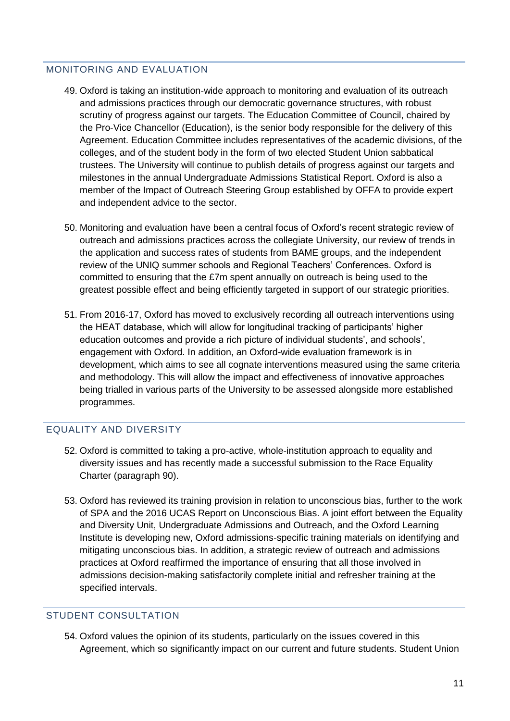#### MONITORING AND EVALUATION

- 49. Oxford is taking an institution-wide approach to monitoring and evaluation of its outreach and admissions practices through our democratic governance structures, with robust scrutiny of progress against our targets. The Education Committee of Council, chaired by the Pro-Vice Chancellor (Education), is the senior body responsible for the delivery of this Agreement. Education Committee includes representatives of the academic divisions, of the colleges, and of the student body in the form of two elected Student Union sabbatical trustees. The University will continue to publish details of progress against our targets and milestones in the annual Undergraduate Admissions Statistical Report. Oxford is also a member of the Impact of Outreach Steering Group established by OFFA to provide expert and independent advice to the sector.
- 50. Monitoring and evaluation have been a central focus of Oxford's recent strategic review of outreach and admissions practices across the collegiate University, our review of trends in the application and success rates of students from BAME groups, and the independent review of the UNIQ summer schools and Regional Teachers' Conferences. Oxford is committed to ensuring that the £7m spent annually on outreach is being used to the greatest possible effect and being efficiently targeted in support of our strategic priorities.
- 51. From 2016-17, Oxford has moved to exclusively recording all outreach interventions using the HEAT database, which will allow for longitudinal tracking of participants' higher education outcomes and provide a rich picture of individual students', and schools', engagement with Oxford. In addition, an Oxford-wide evaluation framework is in development, which aims to see all cognate interventions measured using the same criteria and methodology. This will allow the impact and effectiveness of innovative approaches being trialled in various parts of the University to be assessed alongside more established programmes.

#### <span id="page-10-0"></span>EQUALITY AND DIVERSITY

- 52. Oxford is committed to taking a pro-active, whole-institution approach to equality and diversity issues and has recently made a successful submission to the Race Equality Charter (paragraph [90\)](#page-18-0).
- 53. Oxford has reviewed its training provision in relation to unconscious bias, further to the work of SPA and the 2016 UCAS Report on Unconscious Bias. A joint effort between the Equality and Diversity Unit, Undergraduate Admissions and Outreach, and the Oxford Learning Institute is developing new, Oxford admissions-specific training materials on identifying and mitigating unconscious bias. In addition, a strategic review of outreach and admissions practices at Oxford reaffirmed the importance of ensuring that all those involved in admissions decision-making satisfactorily complete initial and refresher training at the specified intervals.

#### STUDENT CONSULTATION

54. Oxford values the opinion of its students, particularly on the issues covered in this Agreement, which so significantly impact on our current and future students. Student Union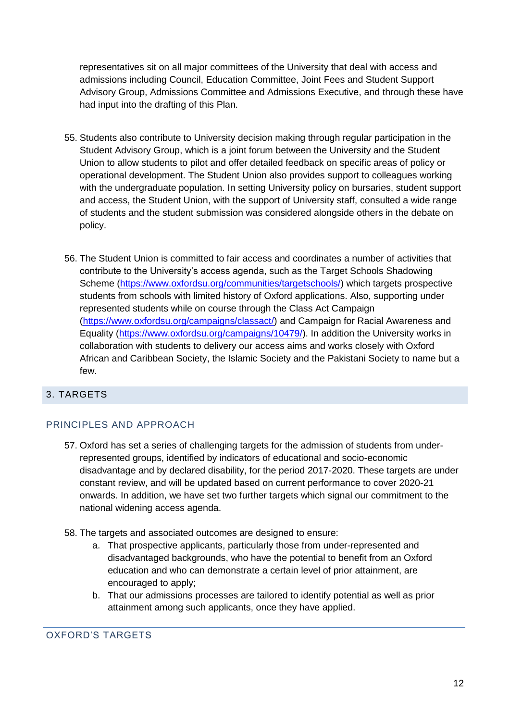representatives sit on all major committees of the University that deal with access and admissions including Council, Education Committee, Joint Fees and Student Support Advisory Group, Admissions Committee and Admissions Executive, and through these have had input into the drafting of this Plan.

- 55. Students also contribute to University decision making through regular participation in the Student Advisory Group, which is a joint forum between the University and the Student Union to allow students to pilot and offer detailed feedback on specific areas of policy or operational development. The Student Union also provides support to colleagues working with the undergraduate population. In setting University policy on bursaries, student support and access, the Student Union, with the support of University staff, consulted a wide range of students and the student submission was considered alongside others in the debate on policy.
- 56. The Student Union is committed to fair access and coordinates a number of activities that contribute to the University's access agenda, such as the Target Schools Shadowing Scheme [\(https://www.oxfordsu.org/communities/targetschools/\)](https://www.oxfordsu.org/communities/targetschools/) which targets prospective students from schools with limited history of Oxford applications. Also, supporting under represented students while on course through the Class Act Campaign [\(https://www.oxfordsu.org/campaigns/classact/\)](https://www.oxfordsu.org/campaigns/classact/) and Campaign for Racial Awareness and Equality [\(https://www.oxfordsu.org/campaigns/10479/\)](https://www.oxfordsu.org/campaigns/10479/). In addition the University works in collaboration with students to delivery our access aims and works closely with Oxford African and Caribbean Society, the Islamic Society and the Pakistani Society to name but a few.

#### 3. TARGETS

#### PRINCIPLES AND APPROACH

- 57. Oxford has set a series of challenging targets for the admission of students from underrepresented groups, identified by indicators of educational and socio-economic disadvantage and by declared disability, for the period 2017-2020. These targets are under constant review, and will be updated based on current performance to cover 2020-21 onwards. In addition, we have set two further targets which signal our commitment to the national widening access agenda.
- 58. The targets and associated outcomes are designed to ensure:
	- a. That prospective applicants, particularly those from under-represented and disadvantaged backgrounds, who have the potential to benefit from an Oxford education and who can demonstrate a certain level of prior attainment, are encouraged to apply;
	- b. That our admissions processes are tailored to identify potential as well as prior attainment among such applicants, once they have applied.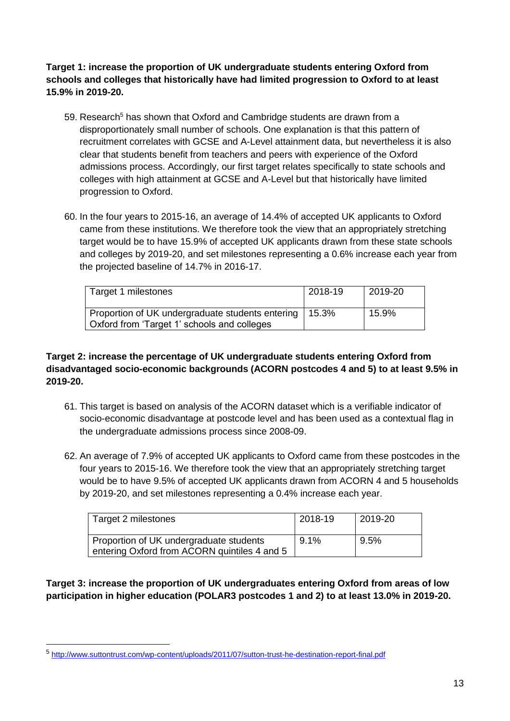**Target 1: increase the proportion of UK undergraduate students entering Oxford from schools and colleges that historically have had limited progression to Oxford to at least 15.9% in 2019-20.**

- 59. Research<sup>5</sup> has shown that Oxford and Cambridge students are drawn from a disproportionately small number of schools. One explanation is that this pattern of recruitment correlates with GCSE and A-Level attainment data, but nevertheless it is also clear that students benefit from teachers and peers with experience of the Oxford admissions process. Accordingly, our first target relates specifically to state schools and colleges with high attainment at GCSE and A-Level but that historically have limited progression to Oxford.
- 60. In the four years to 2015-16, an average of 14.4% of accepted UK applicants to Oxford came from these institutions. We therefore took the view that an appropriately stretching target would be to have 15.9% of accepted UK applicants drawn from these state schools and colleges by 2019-20, and set milestones representing a 0.6% increase each year from the projected baseline of 14.7% in 2016-17.

| Target 1 milestones                                                                             | 2018-19 | 2019-20 |
|-------------------------------------------------------------------------------------------------|---------|---------|
| Proportion of UK undergraduate students entering<br>Oxford from 'Target 1' schools and colleges | 15.3%   | 15.9%   |

#### **Target 2: increase the percentage of UK undergraduate students entering Oxford from disadvantaged socio-economic backgrounds (ACORN postcodes 4 and 5) to at least 9.5% in 2019-20.**

- 61. This target is based on analysis of the ACORN dataset which is a verifiable indicator of socio-economic disadvantage at postcode level and has been used as a contextual flag in the undergraduate admissions process since 2008-09.
- 62. An average of 7.9% of accepted UK applicants to Oxford came from these postcodes in the four years to 2015-16. We therefore took the view that an appropriately stretching target would be to have 9.5% of accepted UK applicants drawn from ACORN 4 and 5 households by 2019-20, and set milestones representing a 0.4% increase each year.

| Target 2 milestones                                                                     | 2018-19 | 2019-20 |
|-----------------------------------------------------------------------------------------|---------|---------|
| Proportion of UK undergraduate students<br>entering Oxford from ACORN quintiles 4 and 5 | $9.1\%$ | 9.5%    |

#### **Target 3: increase the proportion of UK undergraduates entering Oxford from areas of low participation in higher education (POLAR3 postcodes 1 and 2) to at least 13.0% in 2019-20.**

 $\overline{a}$ 

<sup>5</sup> <http://www.suttontrust.com/wp-content/uploads/2011/07/sutton-trust-he-destination-report-final.pdf>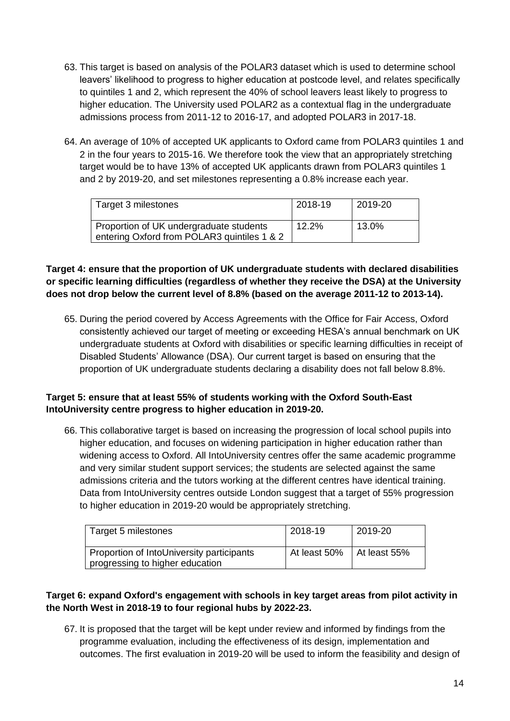- 63. This target is based on analysis of the POLAR3 dataset which is used to determine school leavers' likelihood to progress to higher education at postcode level, and relates specifically to quintiles 1 and 2, which represent the 40% of school leavers least likely to progress to higher education. The University used POLAR2 as a contextual flag in the undergraduate admissions process from 2011-12 to 2016-17, and adopted POLAR3 in 2017-18.
- 64. An average of 10% of accepted UK applicants to Oxford came from POLAR3 quintiles 1 and 2 in the four years to 2015-16. We therefore took the view that an appropriately stretching target would be to have 13% of accepted UK applicants drawn from POLAR3 quintiles 1 and 2 by 2019-20, and set milestones representing a 0.8% increase each year.

| Target 3 milestones                                                                    | 2018-19 | 2019-20 |
|----------------------------------------------------------------------------------------|---------|---------|
| Proportion of UK undergraduate students<br>entering Oxford from POLAR3 quintiles 1 & 2 | 12.2%   | 13.0%   |

#### **Target 4: ensure that the proportion of UK undergraduate students with declared disabilities or specific learning difficulties (regardless of whether they receive the DSA) at the University does not drop below the current level of 8.8% (based on the average 2011-12 to 2013-14).**

65. During the period covered by Access Agreements with the Office for Fair Access, Oxford consistently achieved our target of meeting or exceeding HESA's annual benchmark on UK undergraduate students at Oxford with disabilities or specific learning difficulties in receipt of Disabled Students' Allowance (DSA). Our current target is based on ensuring that the proportion of UK undergraduate students declaring a disability does not fall below 8.8%.

#### **Target 5: ensure that at least 55% of students working with the Oxford South-East IntoUniversity centre progress to higher education in 2019-20.**

66. This collaborative target is based on increasing the progression of local school pupils into higher education, and focuses on widening participation in higher education rather than widening access to Oxford. All IntoUniversity centres offer the same academic programme and very similar student support services; the students are selected against the same admissions criteria and the tutors working at the different centres have identical training. Data from IntoUniversity centres outside London suggest that a target of 55% progression to higher education in 2019-20 would be appropriately stretching.

| Target 5 milestones                                                          | 2018-19                           | 2019-20 |
|------------------------------------------------------------------------------|-----------------------------------|---------|
| Proportion of IntoUniversity participants<br>progressing to higher education | At least $50\%$   At least $55\%$ |         |

#### **Target 6: expand Oxford's engagement with schools in key target areas from pilot activity in the North West in 2018-19 to four regional hubs by 2022-23.**

67. It is proposed that the target will be kept under review and informed by findings from the programme evaluation, including the effectiveness of its design, implementation and outcomes. The first evaluation in 2019-20 will be used to inform the feasibility and design of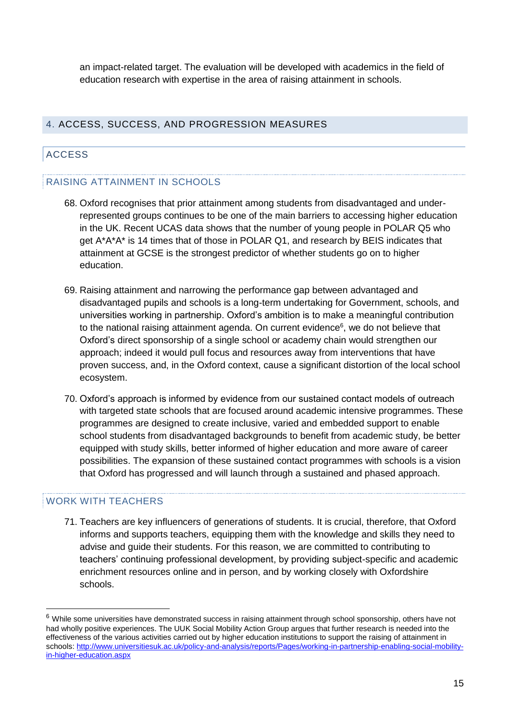an impact-related target. The evaluation will be developed with academics in the field of education research with expertise in the area of raising attainment in schools.

#### 4. ACCESS, SUCCESS, AND PROGRESSION MEASURES

#### ACCESS

#### <span id="page-14-0"></span>RAISING ATTAINMENT IN SCHOOLS

- 68. Oxford recognises that prior attainment among students from disadvantaged and underrepresented groups continues to be one of the main barriers to accessing higher education in the UK. Recent UCAS data shows that the number of young people in POLAR Q5 who get A\*A\*A\* is 14 times that of those in POLAR Q1, and research by BEIS indicates that attainment at GCSE is the strongest predictor of whether students go on to higher education.
- 69. Raising attainment and narrowing the performance gap between advantaged and disadvantaged pupils and schools is a long-term undertaking for Government, schools, and universities working in partnership. Oxford's ambition is to make a meaningful contribution to the national raising attainment agenda. On current evidence<sup>6</sup>, we do not believe that Oxford's direct sponsorship of a single school or academy chain would strengthen our approach; indeed it would pull focus and resources away from interventions that have proven success, and, in the Oxford context, cause a significant distortion of the local school ecosystem.
- 70. Oxford's approach is informed by evidence from our sustained contact models of outreach with targeted state schools that are focused around academic intensive programmes. These programmes are designed to create inclusive, varied and embedded support to enable school students from disadvantaged backgrounds to benefit from academic study, be better equipped with study skills, better informed of higher education and more aware of career possibilities. The expansion of these sustained contact programmes with schools is a vision that Oxford has progressed and will launch through a sustained and phased approach.

#### WORK WITH TEACHERS

71. Teachers are key influencers of generations of students. It is crucial, therefore, that Oxford informs and supports teachers, equipping them with the knowledge and skills they need to advise and guide their students. For this reason, we are committed to contributing to teachers' continuing professional development, by providing subject-specific and academic enrichment resources online and in person, and by working closely with Oxfordshire schools.

 $6$  While some universities have demonstrated success in raising attainment through school sponsorship, others have not had wholly positive experiences. The UUK Social Mobility Action Group argues that further research is needed into the effectiveness of the various activities carried out by higher education institutions to support the raising of attainment in schools[: http://www.universitiesuk.ac.uk/policy-and-analysis/reports/Pages/working-in-partnership-enabling-social-mobility](http://www.universitiesuk.ac.uk/policy-and-analysis/reports/Pages/working-in-partnership-enabling-social-mobility-in-higher-education.aspx)[in-higher-education.aspx](http://www.universitiesuk.ac.uk/policy-and-analysis/reports/Pages/working-in-partnership-enabling-social-mobility-in-higher-education.aspx)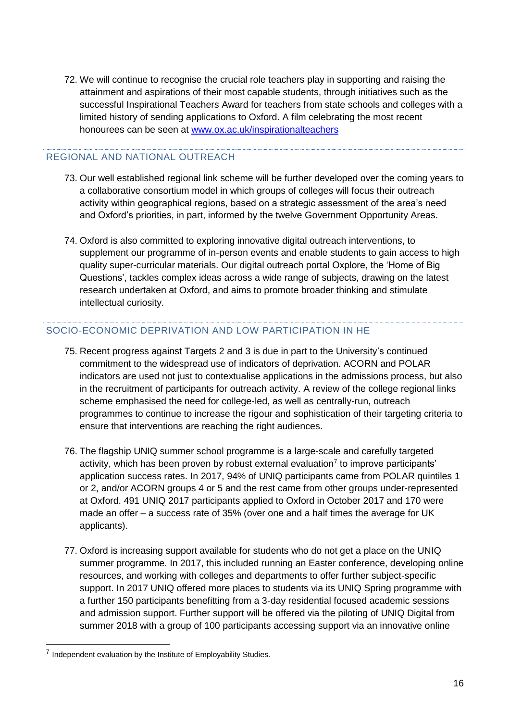<span id="page-15-0"></span>72. We will continue to recognise the crucial role teachers play in supporting and raising the attainment and aspirations of their most capable students, through initiatives such as the successful Inspirational Teachers Award for teachers from state schools and colleges with a limited history of sending applications to Oxford. A film celebrating the most recent honourees can be seen at [www.ox.ac.uk/inspirationalteachers](file:///C:/Users/admn2945/Appdata/Local/Microsoft/Windows/Temporary%20Internet%20Files/Content.Outlook/BAC7ZMBJ/www.ox.ac.uk/inspirationalteachers)

#### REGIONAL AND NATIONAL OUTREACH

- 73. Our well established regional link scheme will be further developed over the coming years to a collaborative consortium model in which groups of colleges will focus their outreach activity within geographical regions, based on a strategic assessment of the area's need and Oxford's priorities, in part, informed by the twelve Government Opportunity Areas.
- 74. Oxford is also committed to exploring innovative digital outreach interventions, to supplement our programme of in-person events and enable students to gain access to high quality super-curricular materials. Our digital outreach portal Oxplore, the 'Home of Big Questions', tackles complex ideas across a wide range of subjects, drawing on the latest research undertaken at Oxford, and aims to promote broader thinking and stimulate intellectual curiosity.

#### SOCIO-ECONOMIC DEPRIVATION AND LOW PARTICIPATION IN HE

- 75. Recent progress against Targets 2 and 3 is due in part to the University's continued commitment to the widespread use of indicators of deprivation. ACORN and POLAR indicators are used not just to contextualise applications in the admissions process, but also in the recruitment of participants for outreach activity. A review of the college regional links scheme emphasised the need for college-led, as well as centrally-run, outreach programmes to continue to increase the rigour and sophistication of their targeting criteria to ensure that interventions are reaching the right audiences.
- 76. The flagship UNIQ summer school programme is a large-scale and carefully targeted activity, which has been proven by robust external evaluation<sup>7</sup> to improve participants' application success rates. In 2017, 94% of UNIQ participants came from POLAR quintiles 1 or 2, and/or ACORN groups 4 or 5 and the rest came from other groups under-represented at Oxford. 491 UNIQ 2017 participants applied to Oxford in October 2017 and 170 were made an offer – a success rate of 35% (over one and a half times the average for UK applicants).
- 77. Oxford is increasing support available for students who do not get a place on the UNIQ summer programme. In 2017, this included running an Easter conference, developing online resources, and working with colleges and departments to offer further subject-specific support. In 2017 UNIQ offered more places to students via its UNIQ Spring programme with a further 150 participants benefitting from a 3-day residential focused academic sessions and admission support. Further support will be offered via the piloting of UNIQ Digital from summer 2018 with a group of 100 participants accessing support via an innovative online

 $\overline{a}$ 

 $<sup>7</sup>$  Independent evaluation by the Institute of Employability Studies.</sup>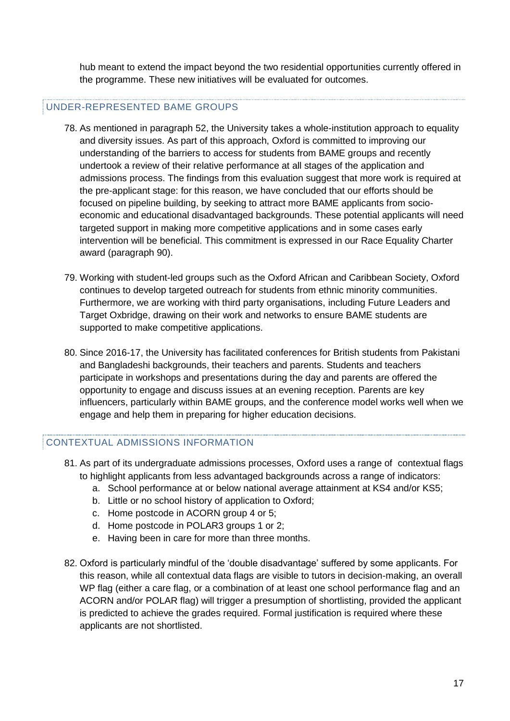hub meant to extend the impact beyond the two residential opportunities currently offered in the programme. These new initiatives will be evaluated for outcomes.

#### UNDER-REPRESENTED BAME GROUPS

- 78. As mentioned in paragraph [52,](#page-10-0) the University takes a whole-institution approach to equality and diversity issues. As part of this approach, Oxford is committed to improving our understanding of the barriers to access for students from BAME groups and recently undertook a review of their relative performance at all stages of the application and admissions process. The findings from this evaluation suggest that more work is required at the pre-applicant stage: for this reason, we have concluded that our efforts should be focused on pipeline building, by seeking to attract more BAME applicants from socioeconomic and educational disadvantaged backgrounds. These potential applicants will need targeted support in making more competitive applications and in some cases early intervention will be beneficial. This commitment is expressed in our Race Equality Charter award (paragraph [90\)](#page-18-0).
- 79. Working with student-led groups such as the Oxford African and Caribbean Society, Oxford continues to develop targeted outreach for students from ethnic minority communities. Furthermore, we are working with third party organisations, including Future Leaders and Target Oxbridge, drawing on their work and networks to ensure BAME students are supported to make competitive applications.
- 80. Since 2016-17, the University has facilitated conferences for British students from Pakistani and Bangladeshi backgrounds, their teachers and parents. Students and teachers participate in workshops and presentations during the day and parents are offered the opportunity to engage and discuss issues at an evening reception. Parents are key influencers, particularly within BAME groups, and the conference model works well when we engage and help them in preparing for higher education decisions.

#### <span id="page-16-0"></span>CONTEXTUAL ADMISSIONS INFORMATION

- 81. As part of its undergraduate admissions processes, Oxford uses a range of contextual flags to highlight applicants from less advantaged backgrounds across a range of indicators:
	- a. School performance at or below national average attainment at KS4 and/or KS5;
	- b. Little or no school history of application to Oxford;
	- c. Home postcode in ACORN group 4 or 5;
	- d. Home postcode in POLAR3 groups 1 or 2;
	- e. Having been in care for more than three months.
- <span id="page-16-1"></span>82. Oxford is particularly mindful of the 'double disadvantage' suffered by some applicants. For this reason, while all contextual data flags are visible to tutors in decision-making, an overall WP flag (either a care flag, or a combination of at least one school performance flag and an ACORN and/or POLAR flag) will trigger a presumption of shortlisting, provided the applicant is predicted to achieve the grades required. Formal justification is required where these applicants are not shortlisted.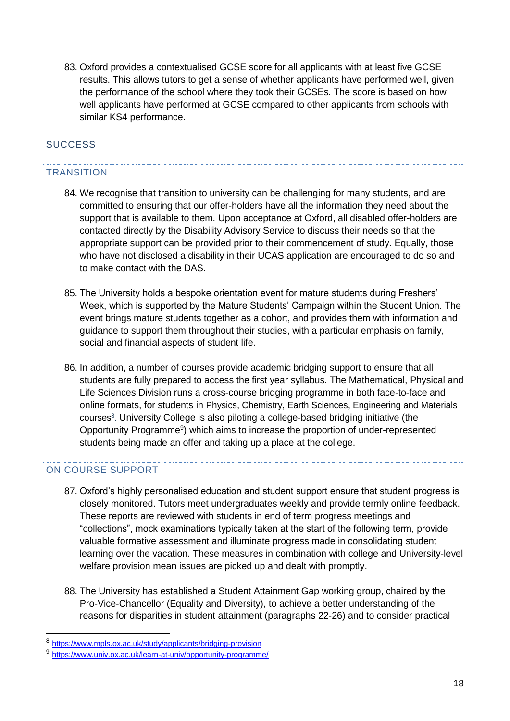83. Oxford provides a contextualised GCSE score for all applicants with at least five GCSE results. This allows tutors to get a sense of whether applicants have performed well, given the performance of the school where they took their GCSEs. The score is based on how well applicants have performed at GCSE compared to other applicants from schools with similar KS4 performance.

## **SUCCESS**

#### **TRANSITION**

- 84. We recognise that transition to university can be challenging for many students, and are committed to ensuring that our offer-holders have all the information they need about the support that is available to them. Upon acceptance at Oxford, all disabled offer-holders are contacted directly by the Disability Advisory Service to discuss their needs so that the appropriate support can be provided prior to their commencement of study. Equally, those who have not disclosed a disability in their UCAS application are encouraged to do so and to make contact with the DAS.
- 85. The University holds a bespoke orientation event for mature students during Freshers' Week, which is supported by the Mature Students' Campaign within the Student Union. The event brings mature students together as a cohort, and provides them with information and guidance to support them throughout their studies, with a particular emphasis on family, social and financial aspects of student life.
- 86. In addition, a number of courses provide academic bridging support to ensure that all students are fully prepared to access the first year syllabus. The Mathematical, Physical and Life Sciences Division runs a cross-course bridging programme in both face-to-face and online formats, for students in Physics, Chemistry, Earth Sciences, Engineering and Materials courses<sup>8</sup>. University College is also piloting a college-based bridging initiative (the Opportunity Programme<sup>9</sup>) which aims to increase the proportion of under-represented students being made an offer and taking up a place at the college.

#### ON COURSE SUPPORT

- 87. Oxford's highly personalised education and student support ensure that student progress is closely monitored. Tutors meet undergraduates weekly and provide termly online feedback. These reports are reviewed with students in end of term progress meetings and "collections", mock examinations typically taken at the start of the following term, provide valuable formative assessment and illuminate progress made in consolidating student learning over the vacation. These measures in combination with college and University-level welfare provision mean issues are picked up and dealt with promptly.
- <span id="page-17-0"></span>88. The University has established a Student Attainment Gap working group, chaired by the Pro-Vice-Chancellor (Equality and Diversity), to achieve a better understanding of the reasons for disparities in student attainment (paragraphs [22](#page-5-0)[-26\)](#page-6-0) and to consider practical

<sup>8</sup> <https://www.mpls.ox.ac.uk/study/applicants/bridging-provision>

<sup>9</sup> <https://www.univ.ox.ac.uk/learn-at-univ/opportunity-programme/>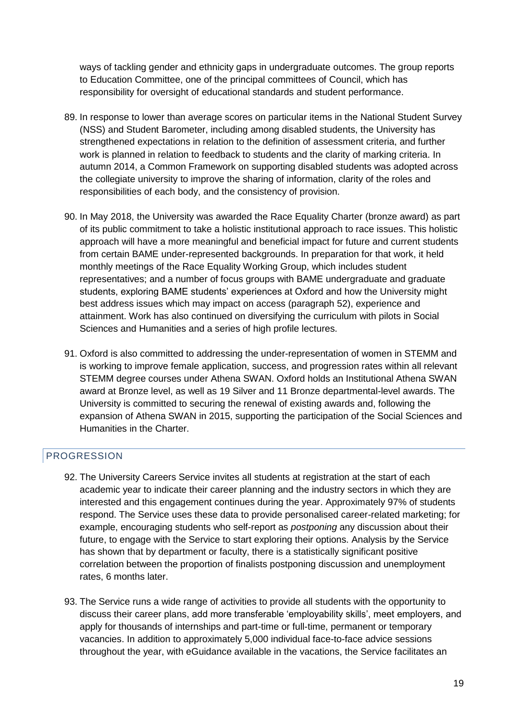ways of tackling gender and ethnicity gaps in undergraduate outcomes. The group reports to Education Committee, one of the principal committees of Council, which has responsibility for oversight of educational standards and student performance.

- 89. In response to lower than average scores on particular items in the National Student Survey (NSS) and Student Barometer, including among disabled students, the University has strengthened expectations in relation to the definition of assessment criteria, and further work is planned in relation to feedback to students and the clarity of marking criteria. In autumn 2014, a Common Framework on supporting disabled students was adopted across the collegiate university to improve the sharing of information, clarity of the roles and responsibilities of each body, and the consistency of provision.
- <span id="page-18-0"></span>90. In May 2018, the University was awarded the Race Equality Charter (bronze award) as part of its public commitment to take a holistic institutional approach to race issues. This holistic approach will have a more meaningful and beneficial impact for future and current students from certain BAME under-represented backgrounds. In preparation for that work, it held monthly meetings of the Race Equality Working Group, which includes student representatives; and a number of focus groups with BAME undergraduate and graduate students, exploring BAME students' experiences at Oxford and how the University might best address issues which may impact on access (paragraph [52\)](#page-10-0), experience and attainment. Work has also continued on diversifying the curriculum with pilots in Social Sciences and Humanities and a series of high profile lectures.
- 91. Oxford is also committed to addressing the under-representation of women in STEMM and is working to improve female application, success, and progression rates within all relevant STEMM degree courses under Athena SWAN. Oxford holds an Institutional Athena SWAN award at Bronze level, as well as 19 Silver and 11 Bronze departmental-level awards. The University is committed to securing the renewal of existing awards and, following the expansion of Athena SWAN in 2015, supporting the participation of the Social Sciences and Humanities in the Charter.

#### PROGRESSION

- 92. The University Careers Service invites all students at registration at the start of each academic year to indicate their career planning and the industry sectors in which they are interested and this engagement continues during the year. Approximately 97% of students respond. The Service uses these data to provide personalised career-related marketing; for example, encouraging students who self-report as *postponing* any discussion about their future, to engage with the Service to start exploring their options. Analysis by the Service has shown that by department or faculty, there is a statistically significant positive correlation between the proportion of finalists postponing discussion and unemployment rates, 6 months later.
- 93. The Service runs a wide range of activities to provide all students with the opportunity to discuss their career plans, add more transferable 'employability skills', meet employers, and apply for thousands of internships and part-time or full-time, permanent or temporary vacancies. In addition to approximately 5,000 individual face-to-face advice sessions throughout the year, with eGuidance available in the vacations, the Service facilitates an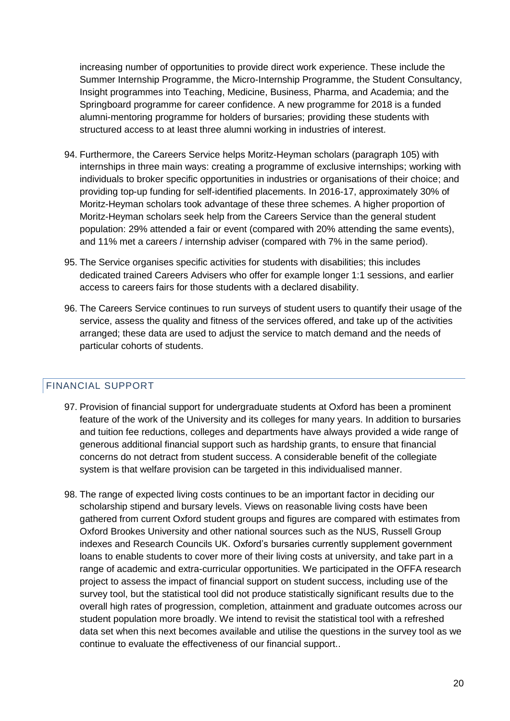increasing number of opportunities to provide direct work experience. These include the Summer Internship Programme, the Micro-Internship Programme, the Student Consultancy, Insight programmes into Teaching, Medicine, Business, Pharma, and Academia; and the Springboard programme for career confidence. A new programme for 2018 is a funded alumni-mentoring programme for holders of bursaries; providing these students with structured access to at least three alumni working in industries of interest.

- 94. Furthermore, the Careers Service helps Moritz-Heyman scholars (paragraph [105\)](#page-21-0) with internships in three main ways: creating a programme of exclusive internships; working with individuals to broker specific opportunities in industries or organisations of their choice; and providing top-up funding for self-identified placements. In 2016-17, approximately 30% of Moritz-Heyman scholars took advantage of these three schemes. A higher proportion of Moritz-Heyman scholars seek help from the Careers Service than the general student population: 29% attended a fair or event (compared with 20% attending the same events), and 11% met a careers / internship adviser (compared with 7% in the same period).
- 95. The Service organises specific activities for students with disabilities; this includes dedicated trained Careers Advisers who offer for example longer 1:1 sessions, and earlier access to careers fairs for those students with a declared disability.
- 96. The Careers Service continues to run surveys of student users to quantify their usage of the service, assess the quality and fitness of the services offered, and take up of the activities arranged; these data are used to adjust the service to match demand and the needs of particular cohorts of students.

#### FINANCIAL SUPPORT

- 97. Provision of financial support for undergraduate students at Oxford has been a prominent feature of the work of the University and its colleges for many years. In addition to bursaries and tuition fee reductions, colleges and departments have always provided a wide range of generous additional financial support such as hardship grants, to ensure that financial concerns do not detract from student success. A considerable benefit of the collegiate system is that welfare provision can be targeted in this individualised manner.
- 98. The range of expected living costs continues to be an important factor in deciding our scholarship stipend and bursary levels. Views on reasonable living costs have been gathered from current Oxford student groups and figures are compared with estimates from Oxford Brookes University and other national sources such as the NUS, Russell Group indexes and Research Councils UK. Oxford's bursaries currently supplement government loans to enable students to cover more of their living costs at university, and take part in a range of academic and extra-curricular opportunities. We participated in the OFFA research project to assess the impact of financial support on student success, including use of the survey tool, but the statistical tool did not produce statistically significant results due to the overall high rates of progression, completion, attainment and graduate outcomes across our student population more broadly. We intend to revisit the statistical tool with a refreshed data set when this next becomes available and utilise the questions in the survey tool as we continue to evaluate the effectiveness of our financial support..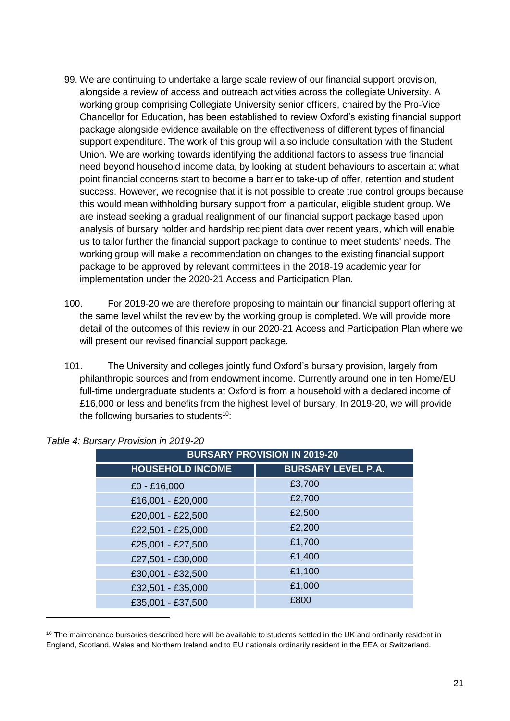- 99. We are continuing to undertake a large scale review of our financial support provision, alongside a review of access and outreach activities across the collegiate University. A working group comprising Collegiate University senior officers, chaired by the Pro-Vice Chancellor for Education, has been established to review Oxford's existing financial support package alongside evidence available on the effectiveness of different types of financial support expenditure. The work of this group will also include consultation with the Student Union. We are working towards identifying the additional factors to assess true financial need beyond household income data, by looking at student behaviours to ascertain at what point financial concerns start to become a barrier to take-up of offer, retention and student success. However, we recognise that it is not possible to create true control groups because this would mean withholding bursary support from a particular, eligible student group. We are instead seeking a gradual realignment of our financial support package based upon analysis of bursary holder and hardship recipient data over recent years, which will enable us to tailor further the financial support package to continue to meet students' needs. The working group will make a recommendation on changes to the existing financial support package to be approved by relevant committees in the 2018-19 academic year for implementation under the 2020-21 Access and Participation Plan.
- 100. For 2019-20 we are therefore proposing to maintain our financial support offering at the same level whilst the review by the working group is completed. We will provide more detail of the outcomes of this review in our 2020-21 Access and Participation Plan where we will present our revised financial support package.
- <span id="page-20-0"></span>101. The University and colleges jointly fund Oxford's bursary provision, largely from philanthropic sources and from endowment income. Currently around one in ten Home/EU full-time undergraduate students at Oxford is from a household with a declared income of £16,000 or less and benefits from the highest level of bursary. In 2019-20, we will provide the following bursaries to students<sup>10</sup>:

| <b>BURSARY PROVISION IN 2019-20</b> |                           |  |  |  |
|-------------------------------------|---------------------------|--|--|--|
| <b>HOUSEHOLD INCOME</b>             | <b>BURSARY LEVEL P.A.</b> |  |  |  |
| £0 - £16,000                        | £3,700                    |  |  |  |
| £16,001 - £20,000                   | £2,700                    |  |  |  |
| £20,001 - £22,500                   | £2,500                    |  |  |  |
| £22,501 - £25,000                   | £2,200                    |  |  |  |
| £25,001 - £27,500                   | £1,700                    |  |  |  |
| £27,501 - £30,000                   | £1,400                    |  |  |  |
| £30,001 - £32,500                   | £1,100                    |  |  |  |
| £32,501 - £35,000                   | £1,000                    |  |  |  |
| £35,001 - £37,500                   | £800                      |  |  |  |

 $10$  The maintenance bursaries described here will be available to students settled in the UK and ordinarily resident in England, Scotland, Wales and Northern Ireland and to EU nationals ordinarily resident in the EEA or Switzerland.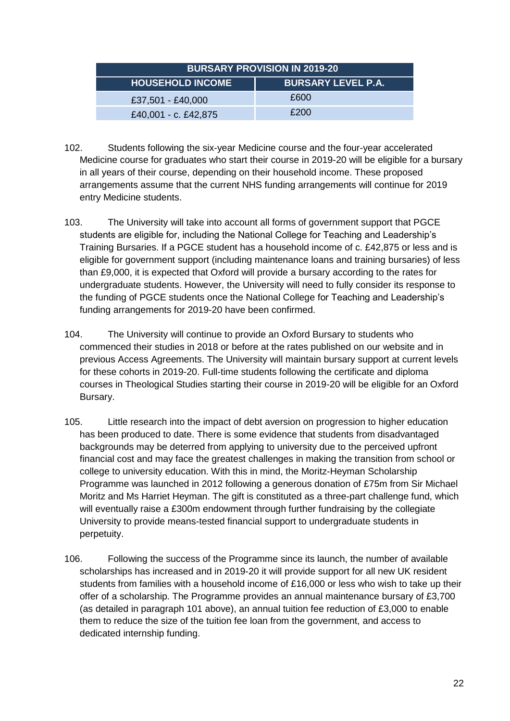| <b>BURSARY PROVISION IN 2019-20</b> |                           |  |  |
|-------------------------------------|---------------------------|--|--|
| <b>HOUSEHOLD INCOME</b>             | <b>BURSARY LEVEL P.A.</b> |  |  |
| £37,501 - £40,000                   | £600                      |  |  |
| £40,001 - c. £42,875                | £200                      |  |  |

- 102. Students following the six-year Medicine course and the four-year accelerated Medicine course for graduates who start their course in 2019-20 will be eligible for a bursary in all years of their course, depending on their household income. These proposed arrangements assume that the current NHS funding arrangements will continue for 2019 entry Medicine students.
- 103. The University will take into account all forms of government support that PGCE students are eligible for, including the National College for Teaching and Leadership's Training Bursaries. If a PGCE student has a household income of c. £42,875 or less and is eligible for government support (including maintenance loans and training bursaries) of less than £9,000, it is expected that Oxford will provide a bursary according to the rates for undergraduate students. However, the University will need to fully consider its response to the funding of PGCE students once the National College for Teaching and Leadership's funding arrangements for 2019-20 have been confirmed.
- 104. The University will continue to provide an Oxford Bursary to students who commenced their studies in 2018 or before at the rates published on our website and in previous Access Agreements. The University will maintain bursary support at current levels for these cohorts in 2019-20. Full-time students following the certificate and diploma courses in Theological Studies starting their course in 2019-20 will be eligible for an Oxford Bursary.
- <span id="page-21-0"></span>105. Little research into the impact of debt aversion on progression to higher education has been produced to date. There is some evidence that students from disadvantaged backgrounds may be deterred from applying to university due to the perceived upfront financial cost and may face the greatest challenges in making the transition from school or college to university education. With this in mind, the Moritz-Heyman Scholarship Programme was launched in 2012 following a generous donation of £75m from Sir Michael Moritz and Ms Harriet Heyman. The gift is constituted as a three-part challenge fund, which will eventually raise a £300m endowment through further fundraising by the collegiate University to provide means-tested financial support to undergraduate students in perpetuity.
- 106. Following the success of the Programme since its launch, the number of available scholarships has increased and in 2019-20 it will provide support for all new UK resident students from families with a household income of £16,000 or less who wish to take up their offer of a scholarship. The Programme provides an annual maintenance bursary of £3,700 (as detailed in paragraph [101](#page-20-0) above), an annual tuition fee reduction of £3,000 to enable them to reduce the size of the tuition fee loan from the government, and access to dedicated internship funding.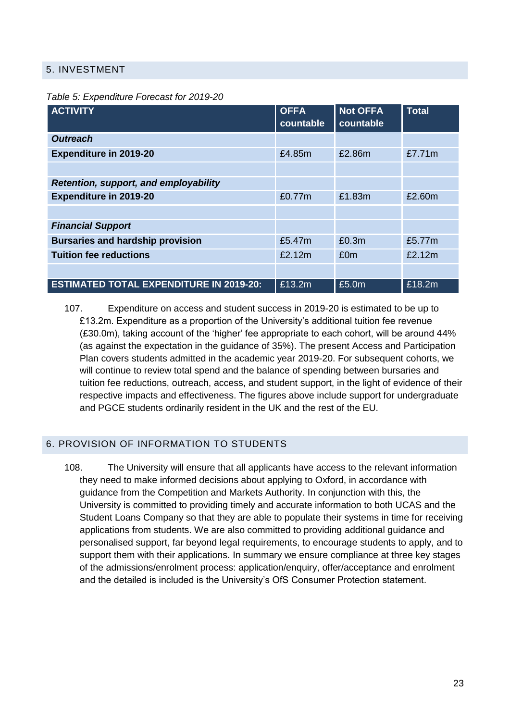#### 5. INVESTMENT

*Table 5: Expenditure Forecast for 2019-20*

| <b>ACTIVITY</b>                                | <b>OFFA</b><br>countable | <b>Not OFFA</b><br>countable | <b>Total</b> |
|------------------------------------------------|--------------------------|------------------------------|--------------|
| <b>Outreach</b>                                |                          |                              |              |
| <b>Expenditure in 2019-20</b>                  | £4.85m                   | £2.86m                       | £7.71m       |
|                                                |                          |                              |              |
| Retention, support, and employability          |                          |                              |              |
| <b>Expenditure in 2019-20</b>                  | £0.77m                   | £1.83m                       | £2.60m       |
|                                                |                          |                              |              |
| <b>Financial Support</b>                       |                          |                              |              |
| <b>Bursaries and hardship provision</b>        | £5.47m                   | £0.3m                        | £5.77m       |
| <b>Tuition fee reductions</b>                  | £2.12m                   | £0m                          | £2.12m       |
|                                                |                          |                              |              |
| <b>ESTIMATED TOTAL EXPENDITURE IN 2019-20:</b> | £13.2m                   | £5.0m                        | £18.2m       |

107. Expenditure on access and student success in 2019-20 is estimated to be up to £13.2m. Expenditure as a proportion of the University's additional tuition fee revenue (£30.0m), taking account of the 'higher' fee appropriate to each cohort, will be around 44% (as against the expectation in the guidance of 35%). The present Access and Participation Plan covers students admitted in the academic year 2019-20. For subsequent cohorts, we will continue to review total spend and the balance of spending between bursaries and tuition fee reductions, outreach, access, and student support, in the light of evidence of their respective impacts and effectiveness. The figures above include support for undergraduate and PGCE students ordinarily resident in the UK and the rest of the EU.

#### 6. PROVISION OF INFORMATION TO STUDENTS

108. The University will ensure that all applicants have access to the relevant information they need to make informed decisions about applying to Oxford, in accordance with guidance from the Competition and Markets Authority. In conjunction with this, the University is committed to providing timely and accurate information to both UCAS and the Student Loans Company so that they are able to populate their systems in time for receiving applications from students. We are also committed to providing additional guidance and personalised support, far beyond legal requirements, to encourage students to apply, and to support them with their applications. In summary we ensure compliance at three key stages of the admissions/enrolment process: application/enquiry, offer/acceptance and enrolment and the detailed is included is the University's OfS Consumer Protection statement.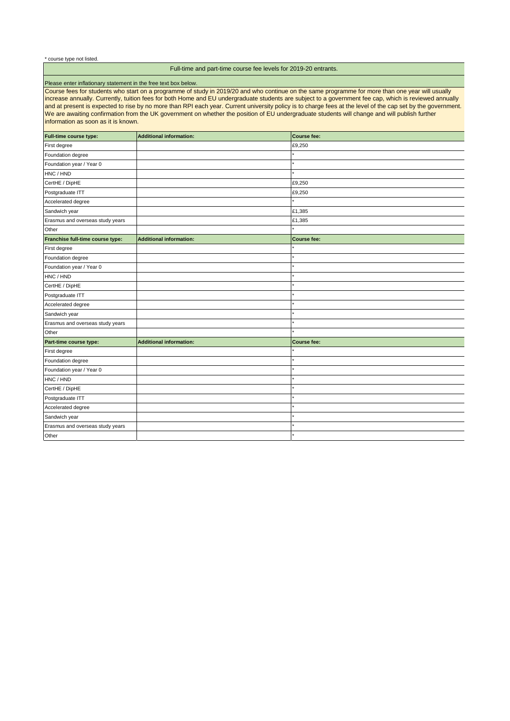\* course type not listed.

#### Full-time and part-time course fee levels for 2019-20 entrants.

#### Please enter inflationary statement in the free text box below.

Course fees for students who start on a programme of study in 2019/20 and who continue on the same programme for more than one year will usually increase annually. Currently, tuition fees for both Home and EU undergraduate students are subject to a government fee cap, which is reviewed annually and at present is expected to rise by no more than RPI each year. Current university policy is to charge fees at the level of the cap set by the government. We are awaiting confirmation from the UK government on whether the position of EU undergraduate students will change and will publish further information as soon as it is known.

| Full-time course type:           | <b>Additional information:</b> | Course fee: |
|----------------------------------|--------------------------------|-------------|
| First degree                     |                                | £9,250      |
| Foundation degree                |                                |             |
| Foundation year / Year 0         |                                |             |
| HNC / HND                        |                                |             |
| CertHE / DipHE                   |                                | £9,250      |
| Postgraduate ITT                 |                                | £9,250      |
| Accelerated degree               |                                |             |
| Sandwich year                    |                                | £1,385      |
| Erasmus and overseas study years |                                | £1,385      |
| Other                            |                                |             |
| Franchise full-time course type: | <b>Additional information:</b> | Course fee: |
| First degree                     |                                |             |
| Foundation degree                |                                |             |
| Foundation year / Year 0         |                                |             |
| HNC / HND                        |                                |             |
| CertHE / DipHE                   |                                |             |
| Postgraduate ITT                 |                                |             |
| Accelerated degree               |                                |             |
| Sandwich year                    |                                |             |
| Erasmus and overseas study years |                                |             |
| Other                            |                                |             |
| Part-time course type:           | <b>Additional information:</b> | Course fee: |
| First degree                     |                                |             |
| Foundation degree                |                                |             |
| Foundation year / Year 0         |                                |             |
| HNC / HND                        |                                |             |
| CertHE / DipHE                   |                                |             |
| Postgraduate ITT                 |                                |             |
| Accelerated degree               |                                |             |
| Sandwich year                    |                                |             |
| Erasmus and overseas study years |                                |             |
| Other                            |                                |             |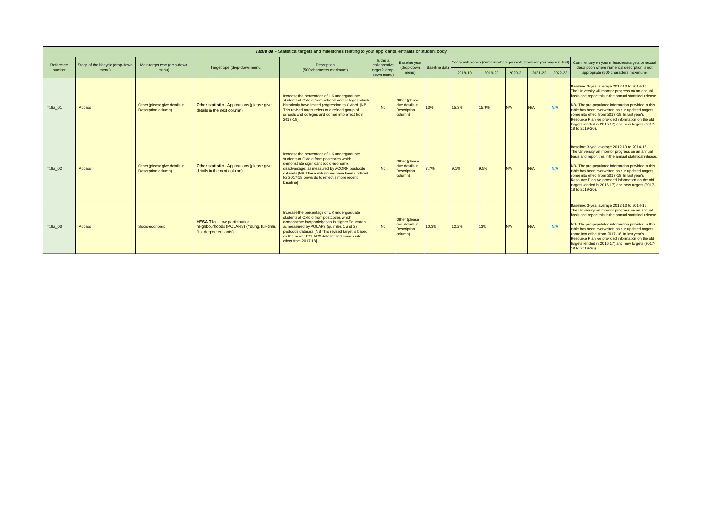| Table 8a - Statistical targets and milestones relating to your applicants, entrants or student body |                                   |                                                      |                                                                                                            |                                                                                                                                                                                                                                                                                                                      |                              |                                                                   |               |         |                                                                      |         |                                                                                                    |         |                                                                                                                                                                                                                                                                                                                                                                                                                                                      |
|-----------------------------------------------------------------------------------------------------|-----------------------------------|------------------------------------------------------|------------------------------------------------------------------------------------------------------------|----------------------------------------------------------------------------------------------------------------------------------------------------------------------------------------------------------------------------------------------------------------------------------------------------------------------|------------------------------|-------------------------------------------------------------------|---------------|---------|----------------------------------------------------------------------|---------|----------------------------------------------------------------------------------------------------|---------|------------------------------------------------------------------------------------------------------------------------------------------------------------------------------------------------------------------------------------------------------------------------------------------------------------------------------------------------------------------------------------------------------------------------------------------------------|
| Reference                                                                                           | Stage of the lifecycle (drop-down | Main target type (drop-down                          | Target type (drop-down menu)                                                                               | Description                                                                                                                                                                                                                                                                                                          | Is this a<br>collaborative   | Baseline year<br>(drop-down<br>menu)                              | Baseline data |         | Yearly milestones (numeric where possible, however you may use text) |         | Commentary on your milestones/targets or textual<br>description where numerical description is not |         |                                                                                                                                                                                                                                                                                                                                                                                                                                                      |
| number                                                                                              | menu)                             | menu)                                                |                                                                                                            | (500 characters maximum)                                                                                                                                                                                                                                                                                             | target? (drop-<br>down menu) |                                                                   |               | 2018-19 | 2019-20                                                              | 2020-21 | 2021-22                                                                                            | 2022-23 | appropriate (500 characters maximum)                                                                                                                                                                                                                                                                                                                                                                                                                 |
| T16a_01                                                                                             | <b>Access</b>                     | Other (please give details in<br>Description column) | <b>Other statistic - Applications (please give</b><br>details in the next column)                          | Increase the percentage of UK undergraduate<br>students at Oxford from schools and colleges which<br>historically have limited progression to Oxford. [NB<br>This revised target refers to a refined group of<br>schools and colleges and comes into effect from<br>$2017 - 18$                                      | <b>No</b>                    | Other (please<br>give details in<br><b>Description</b><br>column) | 13%           | 15.3%   | 15.9%                                                                | N/A     | N/A                                                                                                | N/A     | Baseline: 3-year average 2012-13 to 2014-15<br>The University will monitor progress on an annual<br>basis and report this in the annual statistical release.<br>NB- The pre-populated information provided in this<br>table has been overwritten as our updated targets<br>come into effect from 2017-18. In last year's<br>Resource Plan we provided information on the old<br>targets (ended in 2016-17) and new targets (2017-<br>18 to 2019-20). |
| T16a_02                                                                                             | <b>Access</b>                     | Other (please give details in<br>Description column) | <b>Other statistic - Applications (please give</b><br>details in the next column)                          | Increase the percentage of UK undergraduate<br>students at Oxford from postcodes which<br>demonstrate significant socio-economic<br>disadvantage, as measured by ACORN postcode<br>datasets [NB These milestones have been updated<br>for 2017-18 onwards to reflect a more recent<br>baseline]                      | <b>No</b>                    | Other (please<br>give details in<br><b>Description</b><br>column) | $7.7\%$       | 9.1%    | 9.5%                                                                 | N/A     | N/A                                                                                                | N/A     | Baseline: 3-year average 2012-13 to 2014-15<br>The University will monitor progress on an annual<br>basis and report this in the annual statistical release.<br>NB- The pre-populated information provided in this<br>table has been overwritten as our updated targets<br>come into effect from 2017-18. In last year's<br>Resource Plan we provided information on the old<br>targets (ended in 2016-17) and new targets (2017-<br>18 to 2019-20). |
| T16a_03                                                                                             | <b>Access</b>                     | Socio-economic                                       | <b>HESA T1a - Low participation</b><br>neighbourhoods (POLAR3) (Young, full-time<br>first degree entrants) | Increase the percentage of UK undergraduate<br>students at Oxford from postcodes which<br>demonstrate low participation in Higher Education<br>as measured by POLAR3 (quintiles 1 and 2)<br>postcode datasets [NB This revised target is based<br>on the newer POLAR3 dataset and comes into<br>effect from 2017-18] | <b>No</b>                    | Other (please<br>give details in<br><b>Description</b><br>column) | 10.3%         | 12.2%   | 13%                                                                  | N/A     | N/A                                                                                                | N/A     | Baseline: 3-year average 2012-13 to 2014-15<br>The University will monitor progress on an annual<br>basis and report this in the annual statistical release.<br>NB- The pre-populated information provided in this<br>table has been overwritten as our updated targets<br>come into effect from 2017-18. In last year's<br>Resource Plan we provided information on the old<br>targets (ended in 2016-17) and new targets (2017-<br>18 to 2019-20). |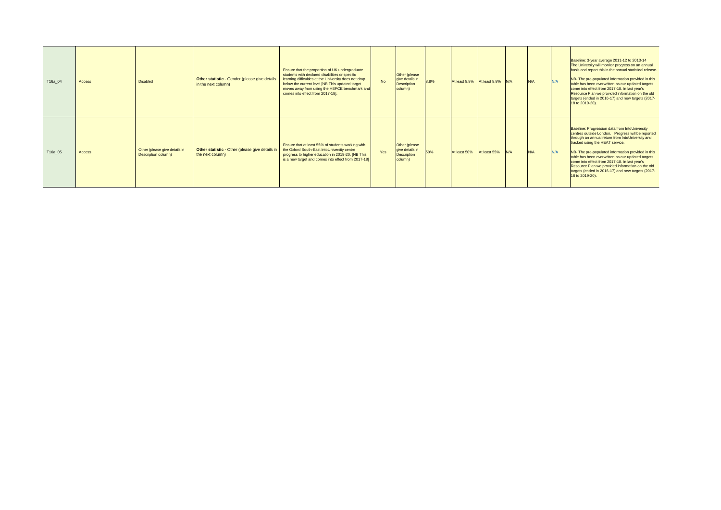| T16a_04 | <b>Access</b> | <b>Disabled</b>                                      | Other statistic - Gender (please give details<br>in the next column) | Ensure that the proportion of UK undergraduate<br>students with declared disabilities or specific<br>learning difficulties at the University does not drop<br>below the current level [NB This updated target<br>moves away from using the HEFCE benchmark and<br>comes into effect from 2017-18]. | <b>No</b> | Other (please<br>give details in<br>Description<br>column) | 8.8% | At least 8.8% $\left  \text{At least 8.8\%} \right  \left  \text{N/A} \right $ |              |     | N/A | N/A | Baseline: 3-year average 2011-12 to 2013-14<br>The University will monitor progress on an annual<br>basis and report this in the annual statistical release.<br>NB- The pre-populated information provided in this<br>table has been overwritten as our updated targets<br>come into effect from 2017-18. In last year's<br>Resource Plan we provided information on the old<br>targets (ended in 2016-17) and new targets (2017-<br>$18$ to 2019-20).                               |
|---------|---------------|------------------------------------------------------|----------------------------------------------------------------------|----------------------------------------------------------------------------------------------------------------------------------------------------------------------------------------------------------------------------------------------------------------------------------------------------|-----------|------------------------------------------------------------|------|--------------------------------------------------------------------------------|--------------|-----|-----|-----|--------------------------------------------------------------------------------------------------------------------------------------------------------------------------------------------------------------------------------------------------------------------------------------------------------------------------------------------------------------------------------------------------------------------------------------------------------------------------------------|
| T16a_05 | <b>Access</b> | Other (please give details in<br>Description column) | Other statistic - Other (please give details in<br>the next column)  | Ensure that at least 55% of students working with<br>the Oxford South-East IntoUniversity centre<br>progress to higher education in 2019-20. [NB This<br>is a new target and comes into effect from 2017-18]                                                                                       | Yes       | Other (please<br>give details in<br>Description<br>column) | 50%  | At least 50%                                                                   | At least 55% | N/A | N/A | N/A | Baseline: Progression data from IntoUniversity<br>centres outside London. Progress will be reported<br>through an annual return from IntoUniversity and<br>tracked using the HEAT service.<br>NB- The pre-populated information provided in this<br>table has been overwritten as our updated targets<br>come into effect from 2017-18. In last year's<br>Resource Plan we provided information on the old<br>targets (ended in 2016-17) and new targets (2017-<br>$18$ to 2019-20). |